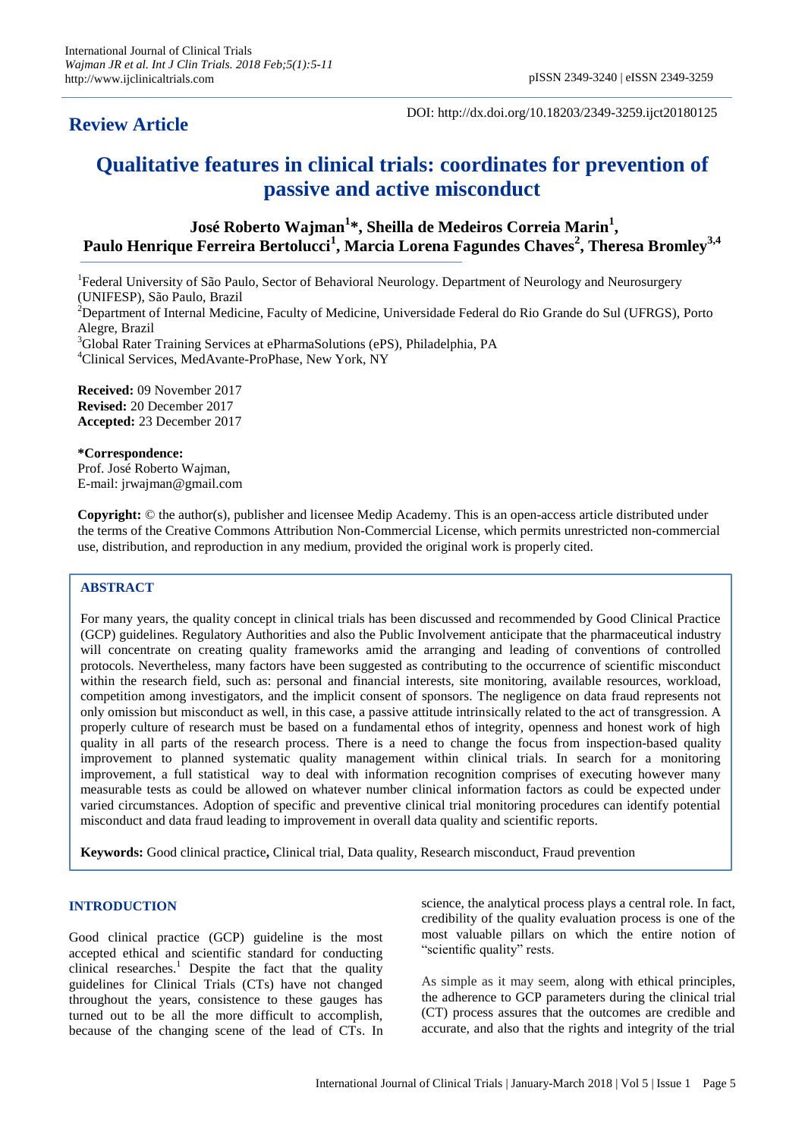# **Review Article**

DOI: http://dx.doi.org/10.18203/2349-3259.ijct20180125

# **Qualitative features in clinical trials: coordinates for prevention of passive and active misconduct**

**José Roberto Wajman<sup>1</sup> \*, Sheilla de Medeiros Correia Marin<sup>1</sup> , Paulo Henrique Ferreira Bertolucci<sup>1</sup> , Marcia Lorena Fagundes Chaves<sup>2</sup> , Theresa Bromley3,4**

<sup>1</sup>Federal University of São Paulo, Sector of Behavioral Neurology. Department of Neurology and Neurosurgery (UNIFESP), São Paulo, Brazil

<sup>2</sup>Department of Internal Medicine, Faculty of Medicine, Universidade Federal do Rio Grande do Sul (UFRGS), Porto Alegre, Brazil

<sup>3</sup>Global Rater Training Services at ePharmaSolutions (ePS), Philadelphia, PA <sup>4</sup>Clinical Services, MedAvante-ProPhase, New York, NY

**Received:** 09 November 2017 **Revised:** 20 December 2017 **Accepted:** 23 December 2017

# **\*Correspondence:**

Prof. José Roberto Wajman, E-mail: jrwajman@gmail.com

**Copyright:** © the author(s), publisher and licensee Medip Academy. This is an open-access article distributed under the terms of the Creative Commons Attribution Non-Commercial License, which permits unrestricted non-commercial use, distribution, and reproduction in any medium, provided the original work is properly cited.

# **ABSTRACT**

For many years, the quality concept in clinical trials has been discussed and recommended by Good Clinical Practice (GCP) guidelines. Regulatory Authorities and also the Public Involvement anticipate that the pharmaceutical industry will concentrate on creating quality frameworks amid the arranging and leading of conventions of controlled protocols. Nevertheless, many factors have been suggested as contributing to the occurrence of scientific misconduct within the research field, such as: personal and financial interests, site monitoring, available resources, workload, competition among investigators, and the implicit consent of sponsors. The negligence on data fraud represents not only omission but misconduct as well, in this case, a passive attitude intrinsically related to the act of transgression. A properly culture of research must be based on a fundamental ethos of integrity, openness and honest work of high quality in all parts of the research process. There is a need to change the focus from inspection-based quality improvement to planned systematic quality management within clinical trials. In search for a monitoring improvement, a full statistical way to deal with information recognition comprises of executing however many measurable tests as could be allowed on whatever number clinical information factors as could be expected under varied circumstances. Adoption of specific and preventive clinical trial monitoring procedures can identify potential misconduct and data fraud leading to improvement in overall data quality and scientific reports.

**Keywords:** Good clinical practice**,** Clinical trial, Data quality, Research misconduct, Fraud prevention

#### **INTRODUCTION**

Good clinical practice (GCP) guideline is the most accepted ethical and scientific standard for conducting clinical researches.<sup>1</sup> Despite the fact that the quality guidelines for Clinical Trials (CTs) have not changed throughout the years, consistence to these gauges has turned out to be all the more difficult to accomplish, because of the changing scene of the lead of CTs. In science, the analytical process plays a central role. In fact, credibility of the quality evaluation process is one of the most valuable pillars on which the entire notion of "scientific quality" rests.

As simple as it may seem, along with ethical principles, the adherence to GCP parameters during the clinical trial (CT) process assures that the outcomes are credible and accurate, and also that the rights and integrity of the trial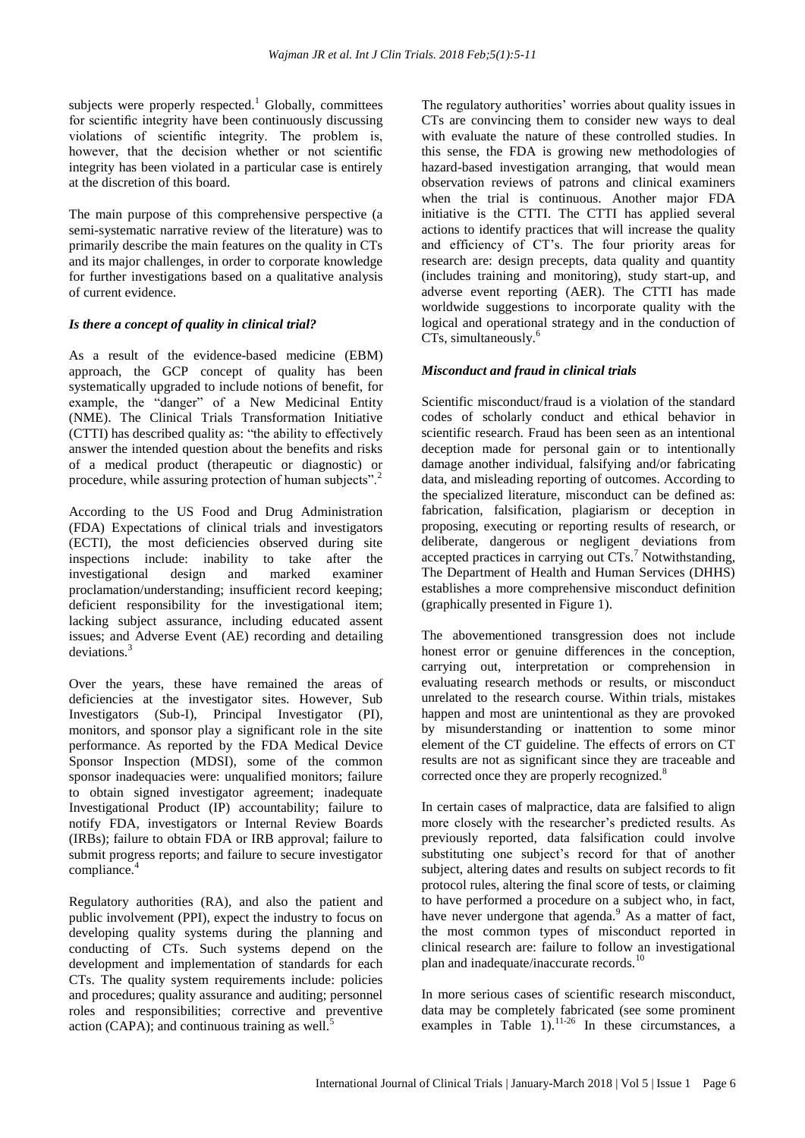subjects were properly respected.<sup>1</sup> Globally, committees for scientific integrity have been continuously discussing violations of scientific integrity. The problem is, however, that the decision whether or not scientific integrity has been violated in a particular case is entirely at the discretion of this board.

The main purpose of this comprehensive perspective (a semi-systematic narrative review of the literature) was to primarily describe the main features on the quality in CTs and its major challenges, in order to corporate knowledge for further investigations based on a qualitative analysis of current evidence.

# *Is there a concept of quality in clinical trial?*

As a result of the evidence-based medicine (EBM) approach, the GCP concept of quality has been systematically upgraded to include notions of benefit, for example, the "danger" of a New Medicinal Entity (NME). The Clinical Trials Transformation Initiative (CTTI) has described quality as: "the ability to effectively answer the intended question about the benefits and risks of a medical product (therapeutic or diagnostic) or procedure, while assuring protection of human subjects".<sup>2</sup>

According to the US Food and Drug Administration (FDA) Expectations of clinical trials and investigators (ECTI), the most deficiencies observed during site inspections include: inability to take after the investigational design and marked examiner proclamation/understanding; insufficient record keeping; deficient responsibility for the investigational item; lacking subject assurance, including educated assent issues; and Adverse Event (AE) recording and detailing deviations.<sup>3</sup>

Over the years, these have remained the areas of deficiencies at the investigator sites. However, Sub Investigators (Sub-I), Principal Investigator (PI), monitors, and sponsor play a significant role in the site performance. As reported by the FDA Medical Device Sponsor Inspection (MDSI), some of the common sponsor inadequacies were: unqualified monitors; failure to obtain signed investigator agreement; inadequate Investigational Product (IP) accountability; failure to notify FDA, investigators or Internal Review Boards (IRBs); failure to obtain FDA or IRB approval; failure to submit progress reports; and failure to secure investigator compliance.<sup>4</sup>

Regulatory authorities (RA), and also the patient and public involvement (PPI), expect the industry to focus on developing quality systems during the planning and conducting of CTs. Such systems depend on the development and implementation of standards for each CTs. The quality system requirements include: policies and procedures; quality assurance and auditing; personnel roles and responsibilities; corrective and preventive action (CAPA); and continuous training as well. $5$ 

The regulatory authorities' worries about quality issues in CTs are convincing them to consider new ways to deal with evaluate the nature of these controlled studies. In this sense, the FDA is growing new methodologies of hazard-based investigation arranging, that would mean observation reviews of patrons and clinical examiners when the trial is continuous. Another major FDA initiative is the CTTI. The CTTI has applied several actions to identify practices that will increase the quality and efficiency of CT's. The four priority areas for research are: design precepts, data quality and quantity (includes training and monitoring), study start-up, and adverse event reporting (AER). The CTTI has made worldwide suggestions to incorporate quality with the logical and operational strategy and in the conduction of CTs, simultaneously.<sup>6</sup>

## *Misconduct and fraud in clinical trials*

Scientific misconduct/fraud is a violation of the standard codes of scholarly conduct and ethical behavior in scientific research. Fraud has been seen as an intentional deception made for personal gain or to intentionally damage another individual, falsifying and/or fabricating data, and misleading reporting of outcomes. According to the specialized literature, misconduct can be defined as: fabrication, falsification, plagiarism or deception in proposing, executing or reporting results of research, or deliberate, dangerous or negligent deviations from accepted practices in carrying out  $CTs$ <sup>7</sup>. Notwithstanding, The Department of Health and Human Services (DHHS) establishes a more comprehensive misconduct definition (graphically presented in Figure 1).

The abovementioned transgression does not include honest error or genuine differences in the conception, carrying out, interpretation or comprehension in evaluating research methods or results, or misconduct unrelated to the research course. Within trials, mistakes happen and most are unintentional as they are provoked by misunderstanding or inattention to some minor element of the CT guideline. The effects of errors on CT results are not as significant since they are traceable and corrected once they are properly recognized.<sup>8</sup>

In certain cases of malpractice, data are falsified to align more closely with the researcher's predicted results. As previously reported, data falsification could involve substituting one subject's record for that of another subject, altering dates and results on subject records to fit protocol rules, altering the final score of tests, or claiming to have performed a procedure on a subject who, in fact, have never undergone that agenda. $9$  As a matter of fact, the most common types of misconduct reported in clinical research are: failure to follow an investigational plan and inadequate/inaccurate records.<sup>10</sup>

In more serious cases of scientific research misconduct, data may be completely fabricated (see some prominent examples in Table  $1$ ).<sup>11-26</sup> In these circumstances, a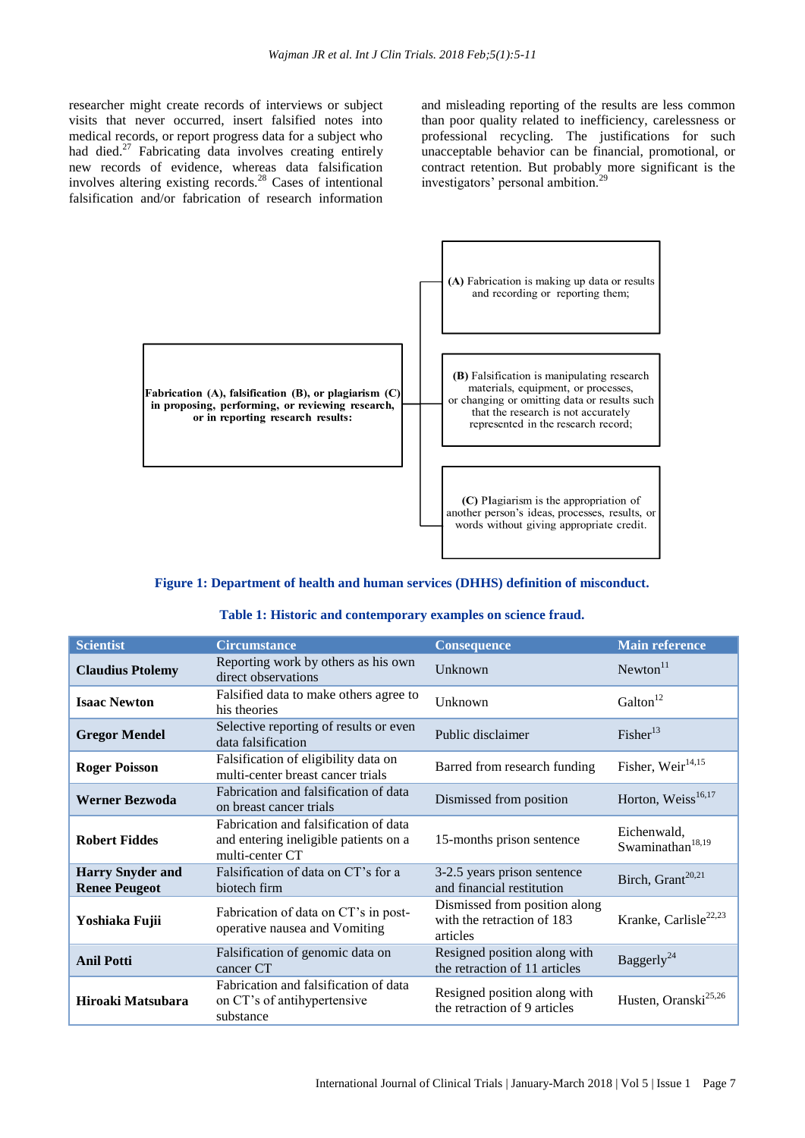researcher might create records of interviews or subject visits that never occurred, insert falsified notes into medical records, or report progress data for a subject who had died.<sup>27</sup> Fabricating data involves creating entirely new records of evidence, whereas data falsification involves altering existing records.<sup>28</sup> Cases of intentional falsification and/or fabrication of research information

and misleading reporting of the results are less common than poor quality related to inefficiency, carelessness or professional recycling. The justifications for such unacceptable behavior can be financial, promotional, or contract retention. But probably more significant is the investigators' personal ambition.<sup>29</sup>



# **Figure 1: Department of health and human services (DHHS) definition of misconduct.**

|  | Table 1: Historic and contemporary examples on science fraud. |  |  |  |  |  |
|--|---------------------------------------------------------------|--|--|--|--|--|
|--|---------------------------------------------------------------|--|--|--|--|--|

| <b>Scientist</b>                                | <b>Circumstance</b>                                                                               | <b>Consequence</b>                                                      | <b>Main reference</b>                       |
|-------------------------------------------------|---------------------------------------------------------------------------------------------------|-------------------------------------------------------------------------|---------------------------------------------|
| <b>Claudius Ptolemy</b>                         | Reporting work by others as his own<br>direct observations                                        | Unknown                                                                 | Newton <sup>11</sup>                        |
| <b>Isaac Newton</b>                             | Falsified data to make others agree to<br>his theories                                            | Unknown                                                                 | Galton <sup>12</sup>                        |
| <b>Gregor Mendel</b>                            | Selective reporting of results or even<br>data falsification                                      | Public disclaimer                                                       | $Fisher^{13}$                               |
| <b>Roger Poisson</b>                            | Falsification of eligibility data on<br>multi-center breast cancer trials                         | Barred from research funding                                            | Fisher, Weir <sup>14,15</sup>               |
| <b>Werner Bezwoda</b>                           | Fabrication and falsification of data<br>on breast cancer trials                                  | Dismissed from position                                                 | Horton, Weiss <sup>16,17</sup>              |
| <b>Robert Fiddes</b>                            | Fabrication and falsification of data<br>and entering ineligible patients on a<br>multi-center CT | 15-months prison sentence                                               | Eichenwald,<br>Swaminathan <sup>18,19</sup> |
| <b>Harry Snyder and</b><br><b>Renee Peugeot</b> | Falsification of data on CT's for a<br>biotech firm                                               | 3-2.5 years prison sentence<br>and financial restitution                | Birch, Grant <sup>20,21</sup>               |
| Yoshiaka Fujii                                  | Fabrication of data on CT's in post-<br>operative nausea and Vomiting                             | Dismissed from position along<br>with the retraction of 183<br>articles | Kranke, Carlisle <sup>22,23</sup>           |
| <b>Anil Potti</b>                               | Falsification of genomic data on<br>cancer CT                                                     | Resigned position along with<br>the retraction of 11 articles           | Baggerly <sup>24</sup>                      |
| Hiroaki Matsubara                               | Fabrication and falsification of data<br>on CT's of antihypertensive<br>substance                 | Resigned position along with<br>the retraction of 9 articles            | Husten, Oranski <sup>25,26</sup>            |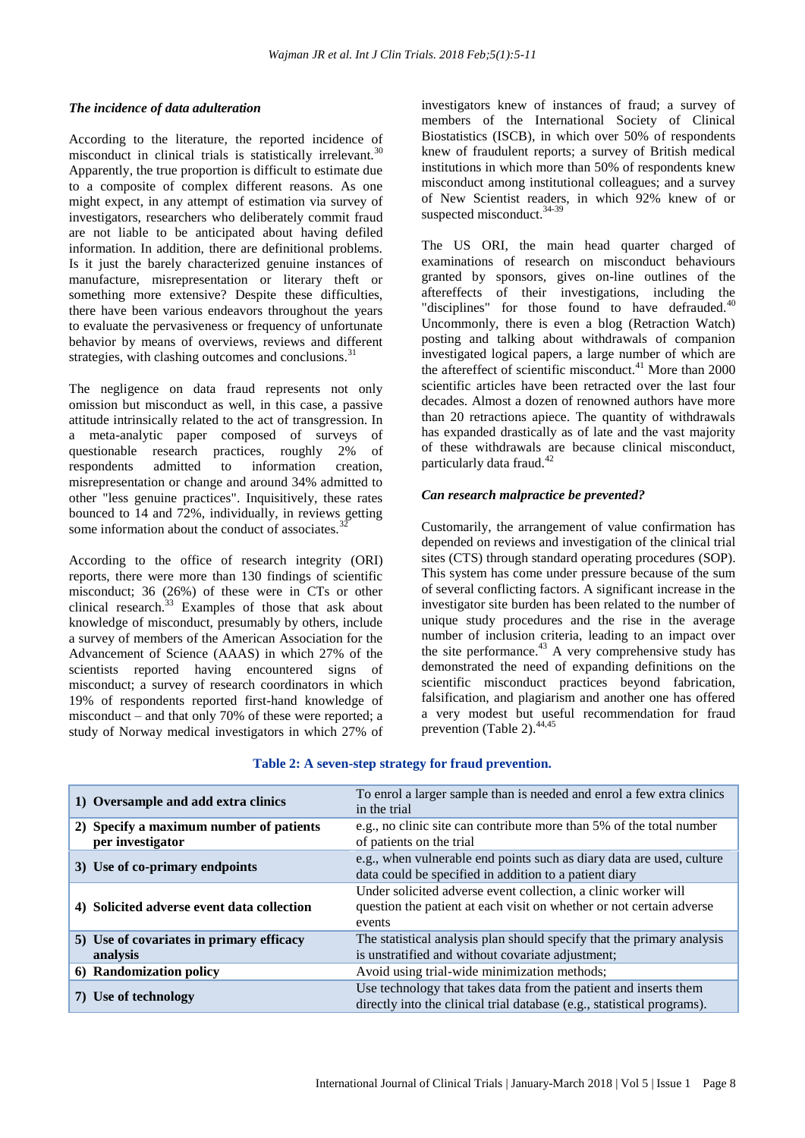## *The incidence of data adulteration*

According to the literature, the reported incidence of misconduct in clinical trials is statistically irrelevant.<sup>30</sup> Apparently, the true proportion is difficult to estimate due to a composite of complex different reasons. As one might expect, in any attempt of estimation via survey of investigators, researchers who deliberately commit fraud are not liable to be anticipated about having defiled information. In addition, there are definitional problems. Is it just the barely characterized genuine instances of manufacture, misrepresentation or literary theft or something more extensive? Despite these difficulties, there have been various endeavors throughout the years to evaluate the pervasiveness or frequency of unfortunate behavior by means of overviews, reviews and different strategies, with clashing outcomes and conclusions.<sup>31</sup>

The negligence on data fraud represents not only omission but misconduct as well, in this case, a passive attitude intrinsically related to the act of transgression. In a meta-analytic paper composed of surveys of questionable research practices, roughly 2% of respondents admitted to information creation, misrepresentation or change and around 34% admitted to other "less genuine practices". Inquisitively, these rates bounced to 14 and 72%, individually, in reviews getting some information about the conduct of associates.<sup>3</sup>

According to the office of research integrity (ORI) reports, there were more than 130 findings of scientific misconduct; 36 (26%) of these were in CTs or other clinical research. $33$  Examples of those that ask about knowledge of misconduct, presumably by others, include a survey of members of the American Association for the Advancement of Science (AAAS) in which 27% of the scientists reported having encountered signs of misconduct; a survey of research coordinators in which 19% of respondents reported first-hand knowledge of misconduct – and that only 70% of these were reported; a study of Norway medical investigators in which 27% of investigators knew of instances of fraud; a survey of members of the International Society of Clinical Biostatistics (ISCB), in which over 50% of respondents knew of fraudulent reports; a survey of British medical institutions in which more than 50% of respondents knew misconduct among institutional colleagues; and a survey of New Scientist readers, in which 92% knew of or suspected misconduct.<sup>34-39</sup>

The US ORI, the main head quarter charged of examinations of research on misconduct behaviours granted by sponsors, gives on-line outlines of the aftereffects of their investigations, including the "disciplines" for those found to have defrauded.<sup>40</sup> Uncommonly, there is even a blog (Retraction Watch) posting and talking about withdrawals of companion investigated logical papers, a large number of which are the aftereffect of scientific misconduct.<sup>41</sup> More than 2000 scientific articles have been retracted over the last four decades. Almost a dozen of renowned authors have more than 20 retractions apiece. The quantity of withdrawals has expanded drastically as of late and the vast majority of these withdrawals are because clinical misconduct, particularly data fraud.<sup>42</sup>

## *Can research malpractice be prevented?*

Customarily, the arrangement of value confirmation has depended on reviews and investigation of the clinical trial sites (CTS) through standard operating procedures (SOP). This system has come under pressure because of the sum of several conflicting factors. A significant increase in the investigator site burden has been related to the number of unique study procedures and the rise in the average number of inclusion criteria, leading to an impact over the site performance. $43$  A very comprehensive study has demonstrated the need of expanding definitions on the scientific misconduct practices beyond fabrication, falsification, and plagiarism and another one has offered a very modest but useful recommendation for fraud prevention (Table 2).<sup>44,45</sup>

| 1) Oversample and add extra clinics                         | To enrol a larger sample than is needed and enrol a few extra clinics<br>in the trial                                                            |
|-------------------------------------------------------------|--------------------------------------------------------------------------------------------------------------------------------------------------|
| 2) Specify a maximum number of patients<br>per investigator | e.g., no clinic site can contribute more than 5% of the total number<br>of patients on the trial                                                 |
| 3) Use of co-primary endpoints                              | e.g., when vulnerable end points such as diary data are used, culture<br>data could be specified in addition to a patient diary                  |
| 4) Solicited adverse event data collection                  | Under solicited adverse event collection, a clinic worker will<br>question the patient at each visit on whether or not certain adverse<br>events |
| 5) Use of covariates in primary efficacy<br>analysis        | The statistical analysis plan should specify that the primary analysis<br>is unstratified and without covariate adjustment;                      |
| 6) Randomization policy                                     | Avoid using trial-wide minimization methods;                                                                                                     |
| 7) Use of technology                                        | Use technology that takes data from the patient and inserts them<br>directly into the clinical trial database (e.g., statistical programs).      |

#### **Table 2: A seven-step strategy for fraud prevention.**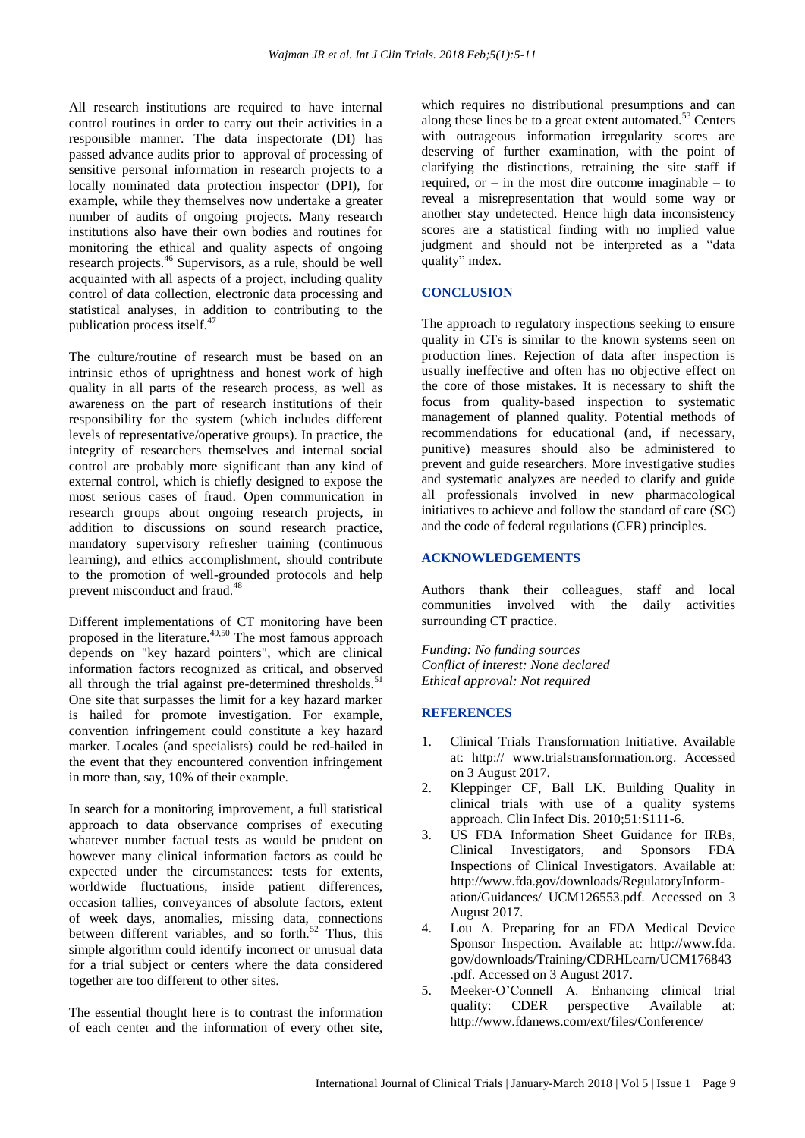All research institutions are required to have internal control routines in order to carry out their activities in a responsible manner. The data inspectorate (DI) has passed advance audits prior to approval of processing of sensitive personal information in research projects to a locally nominated data protection inspector (DPI), for example, while they themselves now undertake a greater number of audits of ongoing projects. Many research institutions also have their own bodies and routines for monitoring the ethical and quality aspects of ongoing research projects.<sup>46</sup> Supervisors, as a rule, should be well acquainted with all aspects of a project, including quality control of data collection, electronic data processing and statistical analyses, in addition to contributing to the publication process itself.<sup>47</sup>

The culture/routine of research must be based on an intrinsic ethos of uprightness and honest work of high quality in all parts of the research process, as well as awareness on the part of research institutions of their responsibility for the system (which includes different levels of representative/operative groups). In practice, the integrity of researchers themselves and internal social control are probably more significant than any kind of external control, which is chiefly designed to expose the most serious cases of fraud. Open communication in research groups about ongoing research projects, in addition to discussions on sound research practice, mandatory supervisory refresher training (continuous learning), and ethics accomplishment, should contribute to the promotion of well-grounded protocols and help prevent misconduct and fraud.<sup>48</sup>

Different implementations of CT monitoring have been proposed in the literature.<sup>49,50</sup> The most famous approach depends on "key hazard pointers", which are clinical information factors recognized as critical, and observed all through the trial against pre-determined thresholds. $51$ One site that surpasses the limit for a key hazard marker is hailed for promote investigation. For example, convention infringement could constitute a key hazard marker. Locales (and specialists) could be red-hailed in the event that they encountered convention infringement in more than, say, 10% of their example.

In search for a monitoring improvement, a full statistical approach to data observance comprises of executing whatever number factual tests as would be prudent on however many clinical information factors as could be expected under the circumstances: tests for extents, worldwide fluctuations, inside patient differences, occasion tallies, conveyances of absolute factors, extent of week days, anomalies, missing data, connections between different variables, and so forth.<sup>52</sup> Thus, this simple algorithm could identify incorrect or unusual data for a trial subject or centers where the data considered together are too different to other sites.

The essential thought here is to contrast the information of each center and the information of every other site, which requires no distributional presumptions and can along these lines be to a great extent automated.<sup>53</sup> Centers with outrageous information irregularity scores are deserving of further examination, with the point of clarifying the distinctions, retraining the site staff if required, or  $-$  in the most dire outcome imaginable  $-$  to reveal a misrepresentation that would some way or another stay undetected. Hence high data inconsistency scores are a statistical finding with no implied value judgment and should not be interpreted as a "data quality" index.

# **CONCLUSION**

The approach to regulatory inspections seeking to ensure quality in CTs is similar to the known systems seen on production lines. Rejection of data after inspection is usually ineffective and often has no objective effect on the core of those mistakes. It is necessary to shift the focus from quality-based inspection to systematic management of planned quality. Potential methods of recommendations for educational (and, if necessary, punitive) measures should also be administered to prevent and guide researchers. More investigative studies and systematic analyzes are needed to clarify and guide all professionals involved in new pharmacological initiatives to achieve and follow the standard of care (SC) and the code of federal regulations (CFR) principles.

## **ACKNOWLEDGEMENTS**

Authors thank their colleagues, staff and local communities involved with the daily activities surrounding CT practice.

*Funding: No funding sources Conflict of interest: None declared Ethical approval: Not required*

#### **REFERENCES**

- 1. Clinical Trials Transformation Initiative. Available at: http:// www.trialstransformation.org. Accessed on 3 August 2017.
- 2. Kleppinger CF, Ball LK. Building Quality in clinical trials with use of a quality systems approach. Clin Infect Dis. 2010;51:S111-6.
- 3. US FDA Information Sheet Guidance for IRBs, Clinical Investigators, and Sponsors FDA Inspections of Clinical Investigators. Available at: http://www.fda.gov/downloads/RegulatoryInformation/Guidances/ UCM126553.pdf. Accessed on 3 August 2017.
- 4. Lou A. Preparing for an FDA Medical Device Sponsor Inspection. Available at: http://www.fda. gov/downloads/Training/CDRHLearn/UCM176843 .pdf. Accessed on 3 August 2017.
- 5. Meeker-O'Connell A. Enhancing clinical trial quality: CDER perspective Available at: http://www.fdanews.com/ext/files/Conference/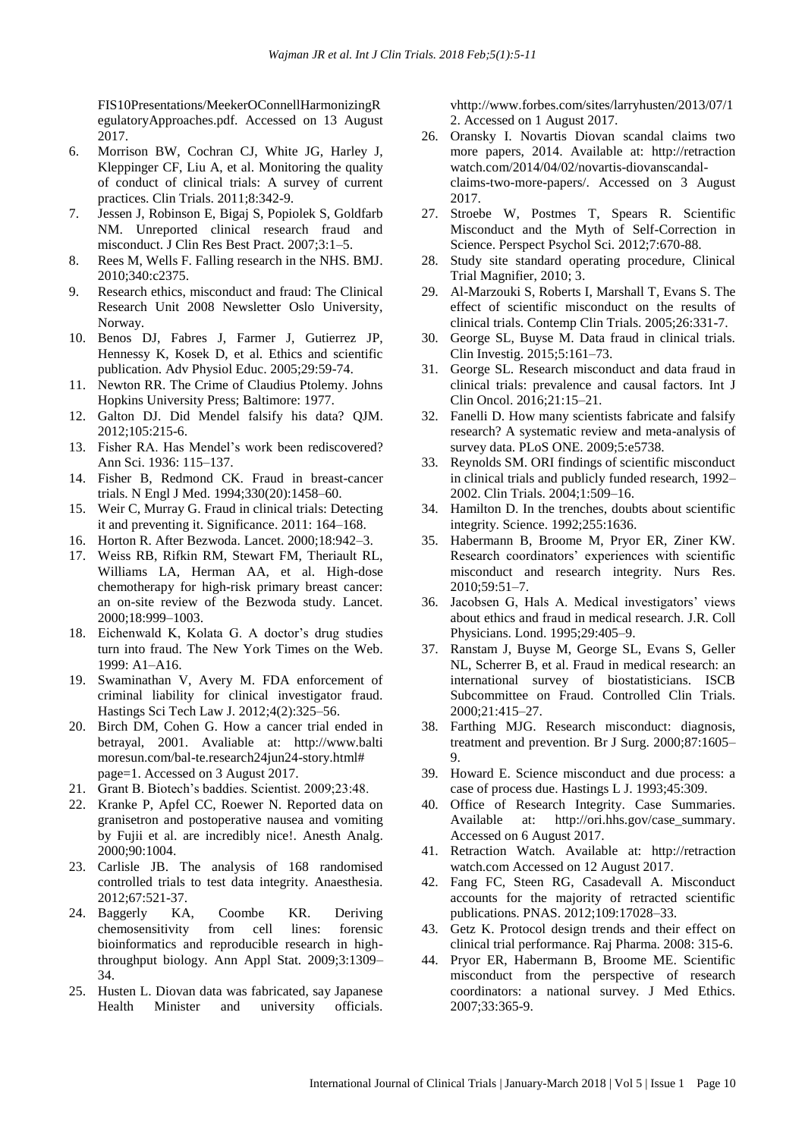FIS10Presentations/MeekerOConnellHarmonizingR egulatoryApproaches.pdf. Accessed on 13 August 2017.

- 6. Morrison BW, Cochran CJ, White JG, Harley J, Kleppinger CF, Liu A, et al. Monitoring the quality of conduct of clinical trials: A survey of current practices. Clin Trials. 2011;8:342-9.
- 7. Jessen J, Robinson E, Bigaj S, Popiolek S, Goldfarb NM. Unreported clinical research fraud and misconduct. J Clin Res Best Pract. 2007;3:1–5.
- 8. Rees M, Wells F. Falling research in the NHS. BMJ. 2010;340:c2375.
- 9. Research ethics, misconduct and fraud: The Clinical Research Unit 2008 Newsletter Oslo University, Norway.
- 10. Benos DJ, Fabres J, Farmer J, Gutierrez JP, Hennessy K, Kosek D, et al. Ethics and scientific publication. Adv Physiol Educ. 2005;29:59-74.
- 11. Newton RR. The Crime of Claudius Ptolemy. Johns Hopkins University Press; Baltimore: 1977.
- 12. Galton DJ. Did Mendel falsify his data? QJM. 2012;105:215-6.
- 13. Fisher RA. Has Mendel's work been rediscovered? Ann Sci. 1936: 115–137.
- 14. Fisher B, Redmond CK. Fraud in breast-cancer trials. N Engl J Med. 1994;330(20):1458–60.
- 15. Weir C, Murray G. Fraud in clinical trials: Detecting it and preventing it. Significance. 2011: 164–168.
- 16. Horton R. After Bezwoda. Lancet. 2000;18:942–3.
- 17. Weiss RB, Rifkin RM, Stewart FM, Theriault RL, Williams LA, Herman AA, et al. High-dose chemotherapy for high-risk primary breast cancer: an on-site review of the Bezwoda study. Lancet. 2000;18:999–1003.
- 18. Eichenwald K, Kolata G. A doctor's drug studies turn into fraud. The New York Times on the Web. 1999: A1–A16.
- 19. Swaminathan V, Avery M. FDA enforcement of criminal liability for clinical investigator fraud. Hastings Sci Tech Law J. 2012;4(2):325–56.
- 20. Birch DM, Cohen G. How a cancer trial ended in betrayal, 2001. Avaliable at: http://www.balti moresun.com/bal-te.research24jun24-story.html# page=1. Accessed on 3 August 2017.
- 21. Grant B. Biotech's baddies. Scientist. 2009;23:48.
- 22. Kranke P, Apfel CC, Roewer N. Reported data on granisetron and postoperative nausea and vomiting by Fujii et al. are incredibly nice!. Anesth Analg. 2000;90:1004.
- 23. Carlisle JB. The analysis of 168 randomised controlled trials to test data integrity. Anaesthesia. 2012;67:521-37.
- 24. Baggerly KA, Coombe KR. Deriving chemosensitivity from cell lines: forensic bioinformatics and reproducible research in highthroughput biology. Ann Appl Stat. 2009;3:1309– 34.
- 25. Husten L. Diovan data was fabricated, say Japanese Health Minister and university officials.

vhttp://www.forbes.com/sites/larryhusten/2013/07/1 2. Accessed on 1 August 2017.

- 26. Oransky I. Novartis Diovan scandal claims two more papers, 2014. Available at: http://retraction watch.com/2014/04/02/novartis-diovanscandalclaims-two-more-papers/. Accessed on 3 August 2017.
- 27. Stroebe W, Postmes T, Spears R. Scientific Misconduct and the Myth of Self-Correction in Science. Perspect Psychol Sci. 2012;7:670-88.
- 28. Study site standard operating procedure, Clinical Trial Magnifier, 2010; 3.
- 29. Al-Marzouki S, Roberts I, Marshall T, Evans S. The effect of scientific misconduct on the results of clinical trials. Contemp Clin Trials. 2005;26:331-7.
- 30. George SL, Buyse M. Data fraud in clinical trials. Clin Investig. 2015;5:161–73.
- 31. George SL. Research misconduct and data fraud in clinical trials: prevalence and causal factors. Int J Clin Oncol. 2016;21:15–21.
- 32. Fanelli D. How many scientists fabricate and falsify research? A systematic review and meta-analysis of survey data. PLoS ONE. 2009;5:e5738.
- 33. Reynolds SM. ORI findings of scientific misconduct in clinical trials and publicly funded research, 1992– 2002. Clin Trials. 2004;1:509–16.
- 34. Hamilton D. In the trenches, doubts about scientific integrity. Science. 1992;255:1636.
- 35. Habermann B, Broome M, Pryor ER, Ziner KW. Research coordinators' experiences with scientific misconduct and research integrity. Nurs Res. 2010;59:51–7.
- 36. Jacobsen G, Hals A. Medical investigators' views about ethics and fraud in medical research. J.R. Coll Physicians. Lond. 1995;29:405–9.
- 37. Ranstam J, Buyse M, George SL, Evans S, Geller NL, Scherrer B, et al. Fraud in medical research: an international survey of biostatisticians. ISCB Subcommittee on Fraud. Controlled Clin Trials. 2000;21:415–27.
- 38. Farthing MJG. Research misconduct: diagnosis, treatment and prevention. Br J Surg. 2000;87:1605– 9.
- 39. Howard E. Science misconduct and due process: a case of process due. Hastings L J. 1993;45:309.
- 40. Office of Research Integrity. Case Summaries. Available at: http://ori.hhs.gov/case\_summary. Accessed on 6 August 2017.
- 41. Retraction Watch. Available at: http://retraction watch.com Accessed on 12 August 2017.
- 42. Fang FC, Steen RG, Casadevall A. Misconduct accounts for the majority of retracted scientific publications. PNAS. 2012;109:17028–33.
- 43. Getz K. Protocol design trends and their effect on clinical trial performance. Raj Pharma. 2008: 315-6.
- 44. Pryor ER, Habermann B, Broome ME. Scientific misconduct from the perspective of research coordinators: a national survey. J Med Ethics. 2007;33:365-9.